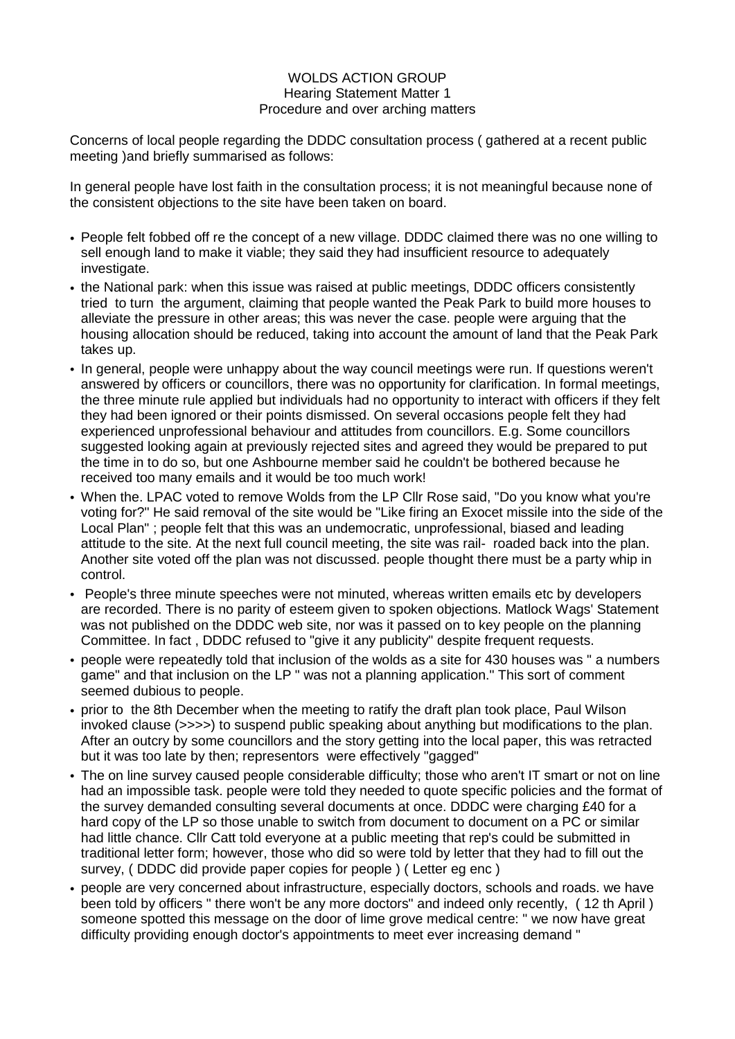## WOLDS ACTION GROUP Hearing Statement Matter 1 Procedure and over arching matters

Concerns of local people regarding the DDDC consultation process ( gathered at a recent public meeting )and briefly summarised as follows:

In general people have lost faith in the consultation process; it is not meaningful because none of the consistent objections to the site have been taken on board.

- People felt fobbed off re the concept of a new village. DDDC claimed there was no one willing to sell enough land to make it viable; they said they had insufficient resource to adequately investigate.
- the National park: when this issue was raised at public meetings, DDDC officers consistently tried to turn the argument, claiming that people wanted the Peak Park to build more houses to alleviate the pressure in other areas; this was never the case. people were arguing that the housing allocation should be reduced, taking into account the amount of land that the Peak Park takes up.
- In general, people were unhappy about the way council meetings were run. If questions weren't answered by officers or councillors, there was no opportunity for clarification. In formal meetings, the three minute rule applied but individuals had no opportunity to interact with officers if they felt they had been ignored or their points dismissed. On several occasions people felt they had experienced unprofessional behaviour and attitudes from councillors. E.g. Some councillors suggested looking again at previously rejected sites and agreed they would be prepared to put the time in to do so, but one Ashbourne member said he couldn't be bothered because he received too many emails and it would be too much work!
- When the. LPAC voted to remove Wolds from the LP Cllr Rose said, "Do you know what you're voting for?" He said removal of the site would be "Like firing an Exocet missile into the side of the Local Plan" ; people felt that this was an undemocratic, unprofessional, biased and leading attitude to the site. At the next full council meeting, the site was rail- roaded back into the plan. Another site voted off the plan was not discussed. people thought there must be a party whip in control.
- People's three minute speeches were not minuted, whereas written emails etc by developers are recorded. There is no parity of esteem given to spoken objections. Matlock Wags' Statement was not published on the DDDC web site, nor was it passed on to key people on the planning Committee. In fact , DDDC refused to "give it any publicity" despite frequent requests.
- people were repeatedly told that inclusion of the wolds as a site for 430 houses was " a numbers game" and that inclusion on the LP " was not a planning application." This sort of comment seemed dubious to people.
- prior to the 8th December when the meeting to ratify the draft plan took place, Paul Wilson invoked clause (>>>>) to suspend public speaking about anything but modifications to the plan. After an outcry by some councillors and the story getting into the local paper, this was retracted but it was too late by then; representors were effectively "gagged"
- The on line survey caused people considerable difficulty; those who aren't IT smart or not on line had an impossible task. people were told they needed to quote specific policies and the format of the survey demanded consulting several documents at once. DDDC were charging £40 for a hard copy of the LP so those unable to switch from document to document on a PC or similar had little chance. Cllr Catt told everyone at a public meeting that rep's could be submitted in traditional letter form; however, those who did so were told by letter that they had to fill out the survey, ( DDDC did provide paper copies for people ) ( Letter eg enc )
- people are very concerned about infrastructure, especially doctors, schools and roads. we have been told by officers " there won't be any more doctors" and indeed only recently, ( 12 th April ) someone spotted this message on the door of lime grove medical centre: " we now have great difficulty providing enough doctor's appointments to meet ever increasing demand "